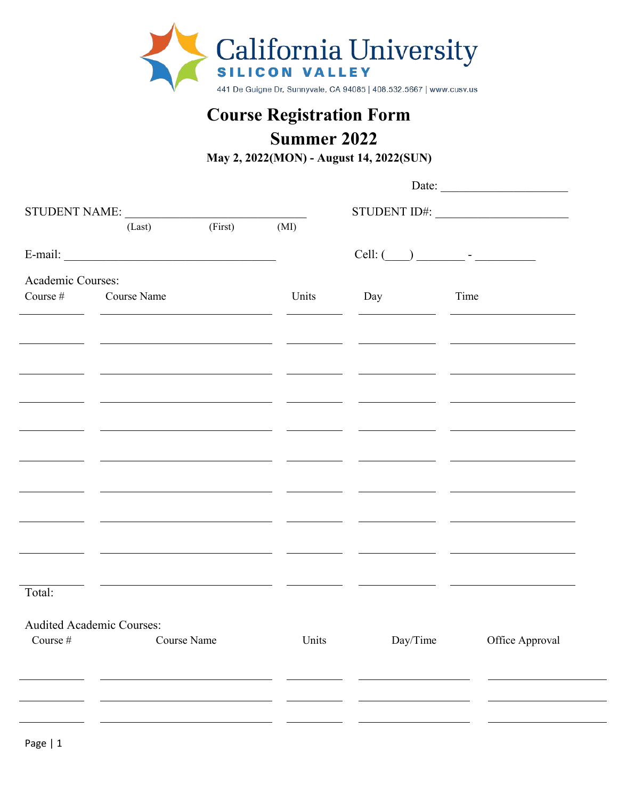

## **Course Registration Form**

## **Summer 2022**

|                   | <b>Course Registration Form</b><br><b>Summer 2022</b><br>May 2, 2022(MON) - August 14, 2022(SUN) |             |                                                         |                                                                                                                       |                                                                                 |
|-------------------|--------------------------------------------------------------------------------------------------|-------------|---------------------------------------------------------|-----------------------------------------------------------------------------------------------------------------------|---------------------------------------------------------------------------------|
|                   |                                                                                                  |             |                                                         | Date:                                                                                                                 |                                                                                 |
|                   | (Last)                                                                                           | (First)     | (MI)                                                    |                                                                                                                       |                                                                                 |
|                   | $E\text{-mail:}\underbrace{\hspace{2cm}}$                                                        |             |                                                         |                                                                                                                       | $Cell:$ $\qquad \qquad$ -                                                       |
| Academic Courses: | Course # Course Name                                                                             |             | Units                                                   | Day                                                                                                                   | Time                                                                            |
|                   |                                                                                                  |             |                                                         |                                                                                                                       |                                                                                 |
|                   |                                                                                                  |             |                                                         | <u> 1989 - Johann Harry Harry Harry Harry Harry Harry Harry Harry Harry Harry Harry Harry Harry Harry Harry Harry</u> |                                                                                 |
|                   |                                                                                                  |             | <u> 1980 - Johann Stone, fransk politiker (d. 1980)</u> |                                                                                                                       | <u> 2000 - Andrea Andrew Maria (h. 1878).</u><br>2001 - Andrew Maria (h. 1872). |
|                   |                                                                                                  |             |                                                         |                                                                                                                       |                                                                                 |
|                   |                                                                                                  |             |                                                         |                                                                                                                       |                                                                                 |
|                   |                                                                                                  |             |                                                         |                                                                                                                       |                                                                                 |
|                   |                                                                                                  |             |                                                         |                                                                                                                       |                                                                                 |
|                   |                                                                                                  |             |                                                         |                                                                                                                       |                                                                                 |
|                   |                                                                                                  |             |                                                         |                                                                                                                       |                                                                                 |
| Total:            |                                                                                                  |             |                                                         |                                                                                                                       |                                                                                 |
|                   | <b>Audited Academic Courses:</b>                                                                 |             |                                                         |                                                                                                                       |                                                                                 |
| Course #          |                                                                                                  | Course Name | Units                                                   | Day/Time                                                                                                              | Office Approval                                                                 |
|                   |                                                                                                  |             |                                                         |                                                                                                                       |                                                                                 |
|                   |                                                                                                  |             |                                                         |                                                                                                                       |                                                                                 |
| Page   1          |                                                                                                  |             |                                                         |                                                                                                                       |                                                                                 |